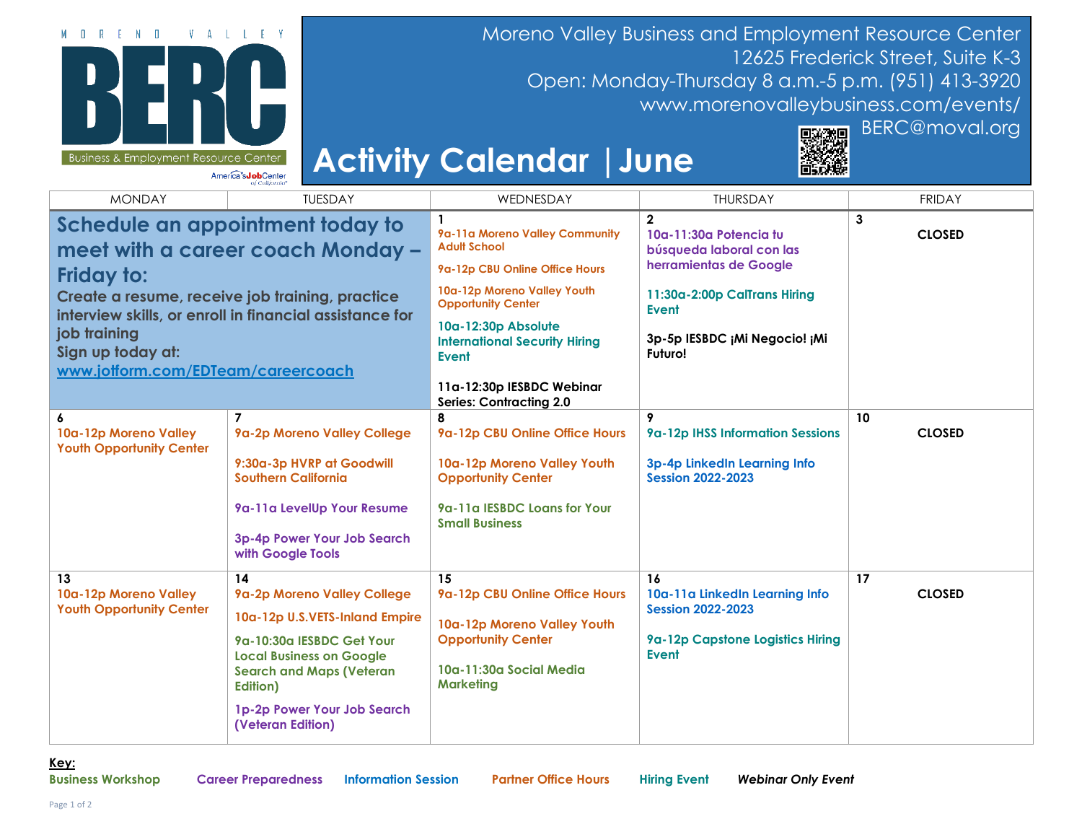

Moreno Valley Business and Employment Resource Center 12625 Frederick Street, Suite K-3 Open: Monday-Thursday 8 a.m.-5 p.m. (951) 413-3920 [www.morenovalleybusiness.com/events/](http://www.morenovalleybusiness.com/events/)

## **Activity Calendar |June**



## MONDAY TUESDAY WEDNESDAY THURSDAY FRIDAY **Schedule an appointment today to meet with a career coach Monday – Friday to: Create a resume, receive job training, practice interview skills, or enroll in financial assistance for job training Sign up today at: [www.jotform.com/EDTeam/careercoach](https://www.jotform.com/EDTeam/careercoach) 1 [9a-11a Moreno Valley Community](https://adulted.mvusd.net/)  [Adult School](https://adulted.mvusd.net/) [9a-12p CBU Online Office Hours](https://mvberc.as.me/CBU) [10a-12p Moreno Valley Youth](https://mv-youth-opportunity-center.business.site/)  [Opportunity Center](https://mv-youth-opportunity-center.business.site/) [10a-12:30p Absolute](https://www.eventbrite.com/e/334905018927)  [International Security Hiring](https://www.eventbrite.com/e/334905018927) [Event](https://www.eventbrite.com/e/334905018927) [11a-12:30p IESBDC Webinar](https://santaanadistrictsbdc.ecenterdirect.com/events/8169)  [Series: Contracting 2.0](https://santaanadistrictsbdc.ecenterdirect.com/events/8169) 2 [10a-11:30a Potencia tu](https://www.eventbrite.com/e/334690467197)  [búsqueda laboral con las](https://www.eventbrite.com/e/334690467197)  [herramientas de Google](https://www.eventbrite.com/e/334690467197) [11:30a-2:00p CalTrans Hiring](https://www.eventbrite.com/e/321522250707)  [Event](https://www.eventbrite.com/e/321522250707) [3p-5p IESBDC ¡Mi Negocio! ¡Mi](https://santaanadistrictsbdc.ecenterdirect.com/events/8167)  [Futuro!](https://santaanadistrictsbdc.ecenterdirect.com/events/8167) 3 CLOSED 6 [10a-12p Moreno Valley](https://mv-youth-opportunity-center.business.site/)  [Youth Opportunity Center](https://mv-youth-opportunity-center.business.site/) 7 [9a-2p Moreno Valley College](https://mvberc.as.me/MVC) [9:30a-3p HVRP at Goodwill](https://files.constantcontact.com/7b78fb5f601/4eefa854-9398-42e7-855d-bf1031df42b3.pdf)  [Southern California](https://files.constantcontact.com/7b78fb5f601/4eefa854-9398-42e7-855d-bf1031df42b3.pdf) [9a-11a LevelUp Your Resume](https://www.eventbrite.com/e/334710697707) [3p-4p Power Your Job Search](https://www.eventbrite.com/e/334712914337)  [with Google Tools](https://www.eventbrite.com/e/334712914337) 8 [9a-12p CBU Online Office Hours](https://mvberc.as.me/CBU) [10a-12p Moreno Valley Youth](https://mv-youth-opportunity-center.business.site/)  [Opportunity Center](https://mv-youth-opportunity-center.business.site/) [9a-11a IESBDC Loans for Your](https://santaanadistrictsbdc.ecenterdirect.com/events/8050)  [Small Business](https://santaanadistrictsbdc.ecenterdirect.com/events/8050) 9 [9a-12p IHSS Information Sessions](https://www.eventbrite.com/o/rivco-ihss-public-authority-recruitment-26701095409) [3p-4p LinkedIn Learning Info](https://www.eventbrite.com/e/334720607347)  [Session 2022-2023](https://www.eventbrite.com/e/334720607347) 10 CLOSED 13 [10a-12p Moreno Valley](https://mv-youth-opportunity-center.business.site/)  [Youth Opportunity Center](https://mv-youth-opportunity-center.business.site/) 14 [9a-2p Moreno Valley College](https://mvberc.as.me/MVC) [10a-12p U.S.VETS-Inland Empire](https://usvets.org/) [9a-10:30a IESBDC Get Your](https://www.eventbrite.com/e/get-your-local-business-on-google-search-and-maps-veteran-edition-tickets-348186995677)  [Local Business on Google](https://www.eventbrite.com/e/get-your-local-business-on-google-search-and-maps-veteran-edition-tickets-348186995677)  [Search and Maps \(Veteran](https://www.eventbrite.com/e/get-your-local-business-on-google-search-and-maps-veteran-edition-tickets-348186995677)  [Edition\)](https://www.eventbrite.com/e/get-your-local-business-on-google-search-and-maps-veteran-edition-tickets-348186995677) [1p-2p Power Your Job Search](https://www.eventbrite.com/e/334730847977)  [\(Veteran Edition\)](https://www.eventbrite.com/e/334730847977) 15 [9a-12p CBU Online Office Hours](https://mvberc.as.me/CBU) [10a-12p Moreno Valley Youth](https://mv-youth-opportunity-center.business.site/)  [Opportunity Center](https://mv-youth-opportunity-center.business.site/) 10a-11:30a [Social Media](https://www.eventbrite.com/e/social-media-marketing-tickets-354627529487)  [Marketing](https://www.eventbrite.com/e/social-media-marketing-tickets-354627529487) 16 [10a-11a LinkedIn Learning Info](https://www.eventbrite.com/e/334822943437)  [Session 2022-2023](https://www.eventbrite.com/e/334822943437) [9a-12p Capstone Logistics Hiring](https://www.eventbrite.com/e/360645429187)  [Event](https://www.eventbrite.com/e/360645429187) 17 CLOSED**

**Key:**